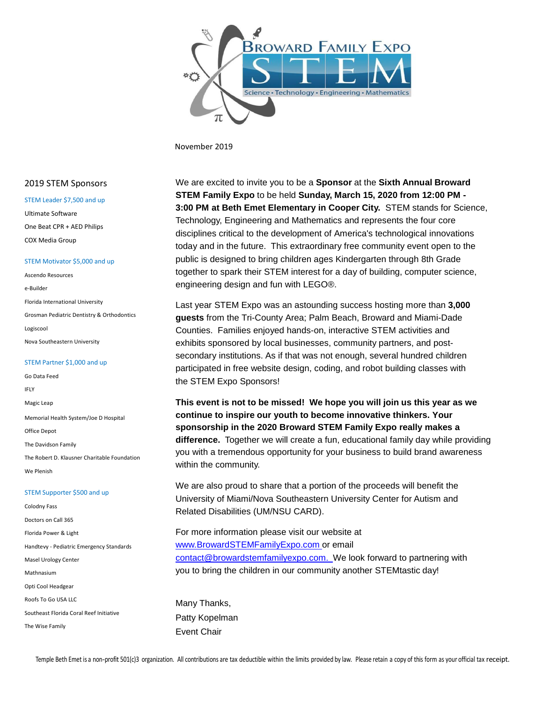

November 2019

#### STEM Leader \$7,500 and up Ultimate Software

One Beat CPR + AED Philips COX Media Group

#### STEM Motivator \$5,000 and up

Ascendo Resources e-Builder Florida International University Grosman Pediatric Dentistry & Orthodontics Logiscool Nova Southeastern University

#### STEM Partner \$1,000 and up

Go Data Feed IFLY Magic Leap Memorial Health System/Joe D Hospital Office Depot The Davidson Family The Robert D. Klausner Charitable Foundation We Plenish

#### STEM Supporter \$500 and up

Colodny Fass Doctors on Call 365 Florida Power & Light Handtevy - Pediatric Emergency Standards Masel Urology Center Mathnasium Opti Cool Headgear Roofs To Go USA LLC Southeast Florida Coral Reef Initiative The Wise Family

 2019 STEM Sponsors We are excited to invite you to be a **Sponsor** at the **Sixth Annual Broward STEM Family Expo** to be held **Sunday, March 15, 2020 from 12:00 PM - 3:00 PM at Beth Emet Elementary in Cooper City.** STEM stands for Science, Technology, Engineering and Mathematics and represents the four core disciplines critical to the development of America's technological innovations today and in the future. This extraordinary free community event open to the public is designed to bring children ages Kindergarten through 8th Grade together to spark their STEM interest for a day of building, computer science, engineering design and fun with LEGO®.

> Last year STEM Expo was an astounding success hosting more than **3,000 guests** from the Tri-County Area; Palm Beach, Broward and Miami-Dade Counties. Families enjoyed hands-on, interactive STEM activities and exhibits sponsored by local businesses, community partners, and postsecondary institutions. As if that was not enough, several hundred children participated in free website design, coding, and robot building classes with the STEM Expo Sponsors!

**This event is not to be missed! We hope you will join us this year as we continue to inspire our youth to become innovative thinkers. Your sponsorship in the 2020 Broward STEM Family Expo really makes a difference.** Together we will create a fun, educational family day while providing you with a tremendous opportunity for your business to build brand awareness within the community.

We are also proud to share that a portion of the proceeds will benefit the University of Miami/Nova Southeastern University Center for Autism and Related Disabilities (UM/NSU CARD).

For more information please visit our website at www.BrowardSTEMFamilyExpo.com or email contact@browardstemfamilyexpo.com. We look forward to partnering with you to bring the children in our community another STEMtastic day!

Many Thanks, Patty Kopelman Event Chair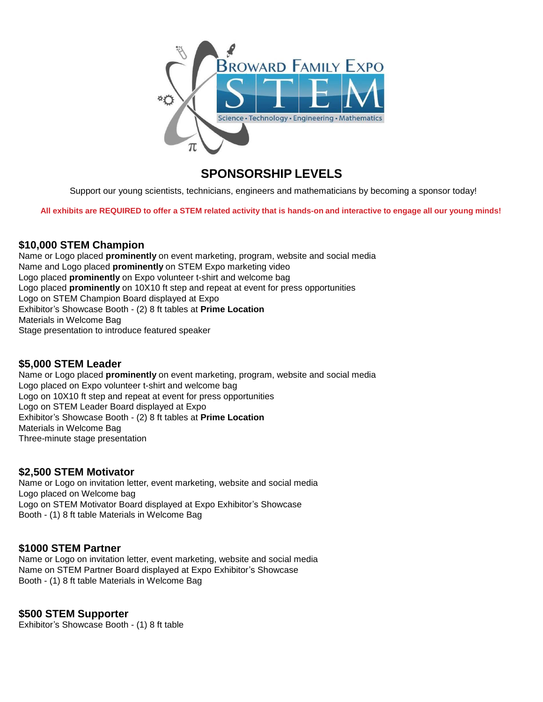

# **SPONSORSHIP LEVELS**

Support our young scientists, technicians, engineers and mathematicians by becoming a sponsor today!

All exhibits are REQUIRED to offer a STEM related activity that is hands-on and interactive to engage all our young minds!

#### **\$10,000 STEM Champion**

Name or Logo placed **prominently** on event marketing, program, website and social media Name and Logo placed **prominently** on STEM Expo marketing video Logo placed **prominently** on Expo volunteer t-shirt and welcome bag Logo placed **prominently** on 10X10 ft step and repeat at event for press opportunities Logo on STEM Champion Board displayed at Expo Exhibitor's Showcase Booth - (2) 8 ft tables at **Prime Location** Materials in Welcome Bag Stage presentation to introduce featured speaker

#### **\$5,000 STEM Leader**

Name or Logo placed **prominently** on event marketing, program, website and social media Logo placed on Expo volunteer t-shirt and welcome bag Logo on 10X10 ft step and repeat at event for press opportunities Logo on STEM Leader Board displayed at Expo Exhibitor's Showcase Booth - (2) 8 ft tables at **Prime Location** Materials in Welcome Bag Three-minute stage presentation

#### **\$2,500 STEM Motivator**

Name or Logo on invitation letter, event marketing, website and social media Logo placed on Welcome bag Logo on STEM Motivator Board displayed at Expo Exhibitor's Showcase Booth - (1) 8 ft table Materials in Welcome Bag

#### **\$1000 STEM Partner**

Name or Logo on invitation letter, event marketing, website and social media Name on STEM Partner Board displayed at Expo Exhibitor's Showcase Booth - (1) 8 ft table Materials in Welcome Bag

#### **\$500 STEM Supporter**

Exhibitor's Showcase Booth - (1) 8 ft table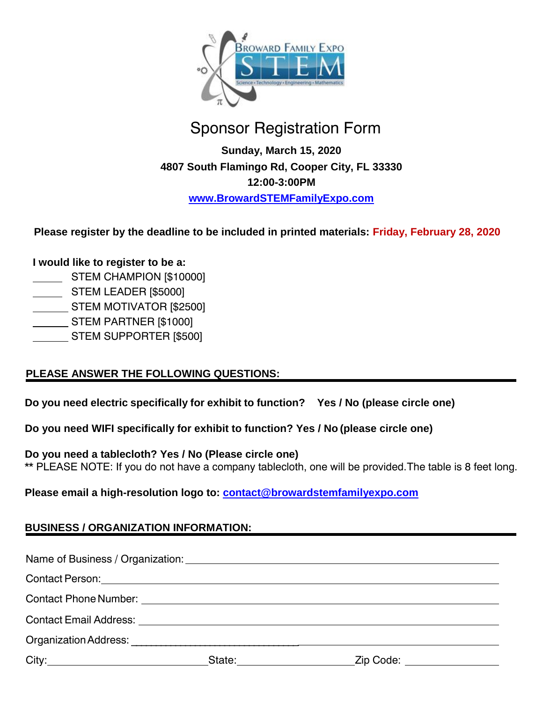

# Sponsor Registration Form

**Sunday, March 15, 2020 4807 South Flamingo Rd, Cooper City, FL 33330 12:00-3:00PM www.BrowardSTEMFamilyExpo.com**

 **Please register by the deadline to be included in printed materials: Friday, February 28, 2020**

# **I would like to register to be a:**

- STEM CHAMPION [\$10000]
- **STEM LEADER [\$5000]**
- STEM MOTIVATOR [\$2500]
- STEM PARTNER [\$1000]
- STEM SUPPORTER [\$500]

# **PLEASE ANSWER THE FOLLOWING QUESTIONS:**

**Do you need electric specifically for exhibit to function? Yes / No (please circle one)** 

**Do you need WIFI specifically for exhibit to function? Yes / No (please circle one)**

**Do you need a tablecloth? Yes / No (Please circle one)**

\*\* PLEASE NOTE: If you do not have a company tablecloth, one will be provided. The table is 8 feet long.

**Please email a high-resolution logo to: contact@browardstemfamilyexpo.com**

# **BUSINESS / ORGANIZATION INFORMATION:**

|  |  | Contact Person: National Contact Person: National Contact Person: National Contact Person: National Contact Person: |  |
|--|--|---------------------------------------------------------------------------------------------------------------------|--|
|  |  |                                                                                                                     |  |
|  |  |                                                                                                                     |  |
|  |  |                                                                                                                     |  |
|  |  | State: <u>Zip Code:</u> 2ip Code:                                                                                   |  |